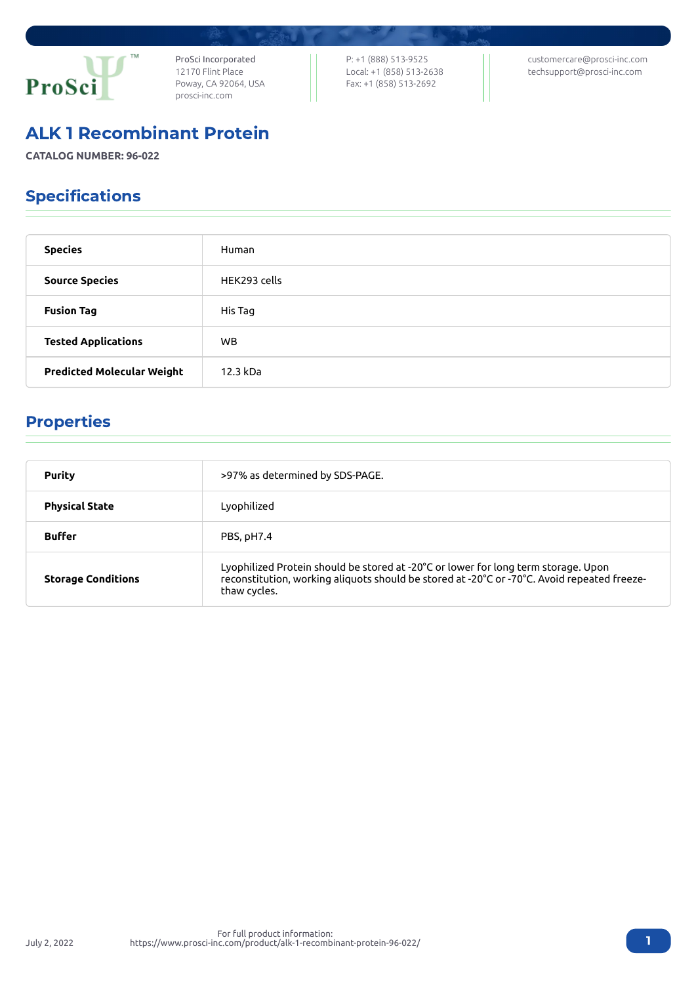

ProSci Incorporated 12170 Flint Place Poway, CA 92064, USA [prosci-inc.com](https://prosci-inc.com/)

P: +1 (888) 513-9525 Local: +1 (858) 513-2638 Fax: +1 (858) 513-2692

[customercare@prosci-inc.com](mailto:customercare@prosci-inc.com) [techsupport@prosci-inc.com](mailto:techsupport@prosci-inc.com)

# ALK 1 Recombinant Protein

**CATALOG NUMBER: 96-022**

## Specifications

| <b>Species</b>                    | Human        |
|-----------------------------------|--------------|
| <b>Source Species</b>             | HEK293 cells |
| <b>Fusion Tag</b>                 | His Tag      |
| <b>Tested Applications</b>        | <b>WB</b>    |
| <b>Predicted Molecular Weight</b> | 12.3 kDa     |

## Properties

| <b>Purity</b>             | >97% as determined by SDS-PAGE.                                                                                                                                                                   |
|---------------------------|---------------------------------------------------------------------------------------------------------------------------------------------------------------------------------------------------|
| <b>Physical State</b>     | Lyophilized                                                                                                                                                                                       |
| <b>Buffer</b>             | PBS, pH7.4                                                                                                                                                                                        |
| <b>Storage Conditions</b> | Lyophilized Protein should be stored at -20°C or lower for long term storage. Upon<br>reconstitution, working aliquots should be stored at -20°C or -70°C. Avoid repeated freeze-<br>thaw cycles. |